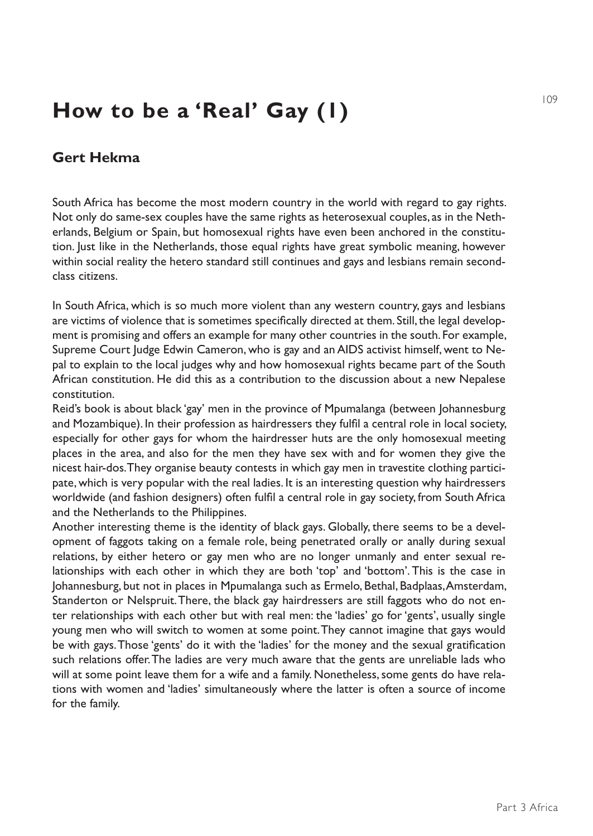## **How to be a 'Real' Gay (1)**

## **Gert Hekma**

South Africa has become the most modern country in the world with regard to gay rights. Not only do same-sex couples have the same rights as heterosexual couples, as in the Netherlands, Belgium or Spain, but homosexual rights have even been anchored in the constitution. Just like in the Netherlands, those equal rights have great symbolic meaning, however within social reality the hetero standard still continues and gays and lesbians remain secondclass citizens.

In South Africa, which is so much more violent than any western country, gays and lesbians are victims of violence that is sometimes specifically directed at them. Still, the legal development is promising and offers an example for many other countries in the south. For example, Supreme Court Judge Edwin Cameron, who is gay and an AIDS activist himself, went to Nepal to explain to the local judges why and how homosexual rights became part of the South African constitution. He did this as a contribution to the discussion about a new Nepalese constitution.

Reid's book is about black 'gay' men in the province of Mpumalanga (between Johannesburg and Mozambique). In their profession as hairdressers they fulfil a central role in local society, especially for other gays for whom the hairdresser huts are the only homosexual meeting places in the area, and also for the men they have sex with and for women they give the nicest hair-dos. They organise beauty contests in which gay men in travestite clothing participate, which is very popular with the real ladies. It is an interesting question why hairdressers worldwide (and fashion designers) often fulfil a central role in gay society, from South Africa and the Netherlands to the Philippines.

Another interesting theme is the identity of black gays. Globally, there seems to be a development of faggots taking on a female role, being penetrated orally or anally during sexual relations, by either hetero or gay men who are no longer unmanly and enter sexual relationships with each other in which they are both 'top' and 'bottom'. This is the case in Johannesburg, but not in places in Mpumalanga such as Ermelo, Bethal, Badplaas, Amsterdam, Standerton or Nelspruit. There, the black gay hairdressers are still faggots who do not enter relationships with each other but with real men: the 'ladies' go for 'gents', usually single young men who will switch to women at some point. They cannot imagine that gays would be with gays. Those 'gents' do it with the 'ladies' for the money and the sexual gratification such relations offer. The ladies are very much aware that the gents are unreliable lads who will at some point leave them for a wife and a family. Nonetheless, some gents do have relations with women and 'ladies' simultaneously where the latter is often a source of income for the family.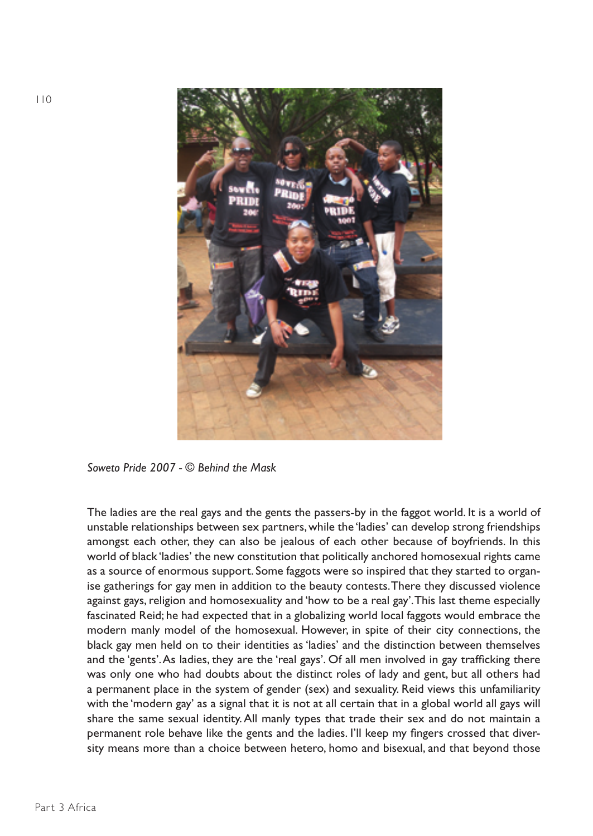

*Soweto Pride 2007 - © Behind the Mask*

The ladies are the real gays and the gents the passers-by in the faggot world. It is a world of unstable relationships between sex partners, while the 'ladies' can develop strong friendships amongst each other, they can also be jealous of each other because of boyfriends. In this world of black 'ladies' the new constitution that politically anchored homosexual rights came as a source of enormous support. Some faggots were so inspired that they started to organise gatherings for gay men in addition to the beauty contests. There they discussed violence against gays, religion and homosexuality and 'how to be a real gay'. This last theme especially fascinated Reid; he had expected that in a globalizing world local faggots would embrace the modern manly model of the homosexual. However, in spite of their city connections, the black gay men held on to their identities as 'ladies' and the distinction between themselves and the 'gents'. As ladies, they are the 'real gays'. Of all men involved in gay trafficking there was only one who had doubts about the distinct roles of lady and gent, but all others had a permanent place in the system of gender (sex) and sexuality. Reid views this unfamiliarity with the 'modern gay' as a signal that it is not at all certain that in a global world all gays will share the same sexual identity. All manly types that trade their sex and do not maintain a permanent role behave like the gents and the ladies. I'll keep my fingers crossed that diversity means more than a choice between hetero, homo and bisexual, and that beyond those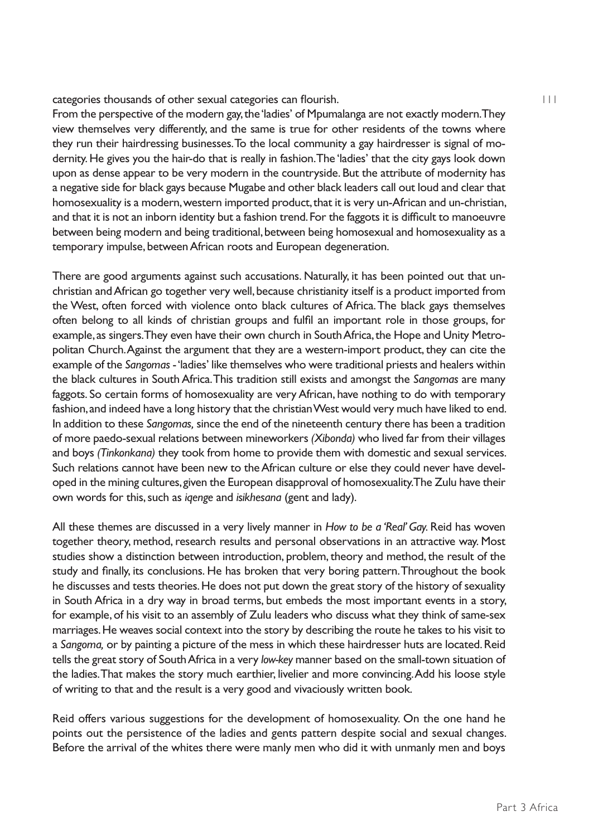categories thousands of other sexual categories can flourish.

From the perspective of the modern gay, the 'ladies' of Mpumalanga are not exactly modern. They view themselves very differently, and the same is true for other residents of the towns where they run their hairdressing businesses. To the local community a gay hairdresser is signal of modernity. He gives you the hair-do that is really in fashion. The 'ladies' that the city gays look down upon as dense appear to be very modern in the countryside. But the attribute of modernity has a negative side for black gays because Mugabe and other black leaders call out loud and clear that homosexuality is a modern, western imported product, that it is very un-African and un-christian, and that it is not an inborn identity but a fashion trend. For the faggots it is difficult to manoeuvre between being modern and being traditional, between being homosexual and homosexuality as a temporary impulse, between African roots and European degeneration.

There are good arguments against such accusations. Naturally, it has been pointed out that unchristian and African go together very well, because christianity itself is a product imported from the West, often forced with violence onto black cultures of Africa. The black gays themselves often belong to all kinds of christian groups and fulfil an important role in those groups, for example, as singers. They even have their own church in South Africa, the Hope and Unity Metropolitan Church. Against the argument that they are a western-import product, they can cite the example of the *Sangomas* - 'ladies' like themselves who were traditional priests and healers within the black cultures in South Africa. This tradition still exists and amongst the *Sangomas* are many faggots. So certain forms of homosexuality are very African, have nothing to do with temporary fashion, and indeed have a long history that the christian West would very much have liked to end. In addition to these *Sangomas,* since the end of the nineteenth century there has been a tradition of more paedo-sexual relations between mineworkers *(Xibonda)* who lived far from their villages and boys *(Tinkonkana)* they took from home to provide them with domestic and sexual services. Such relations cannot have been new to the African culture or else they could never have developed in the mining cultures, given the European disapproval of homosexuality. The Zulu have their own words for this, such as *iqenge* and *isikhesana* (gent and lady).

All these themes are discussed in a very lively manner in *How to be a 'Real' Gay.* Reid has woven together theory, method, research results and personal observations in an attractive way. Most studies show a distinction between introduction, problem, theory and method, the result of the study and finally, its conclusions. He has broken that very boring pattern. Throughout the book he discusses and tests theories. He does not put down the great story of the history of sexuality in South Africa in a dry way in broad terms, but embeds the most important events in a story, for example, of his visit to an assembly of Zulu leaders who discuss what they think of same-sex marriages. He weaves social context into the story by describing the route he takes to his visit to a *Sangoma,* or by painting a picture of the mess in which these hairdresser huts are located. Reid tells the great story of South Africa in a very *low-key* manner based on the small-town situation of the ladies. That makes the story much earthier, livelier and more convincing. Add his loose style of writing to that and the result is a very good and vivaciously written book.

Reid offers various suggestions for the development of homosexuality. On the one hand he points out the persistence of the ladies and gents pattern despite social and sexual changes. Before the arrival of the whites there were manly men who did it with unmanly men and boys